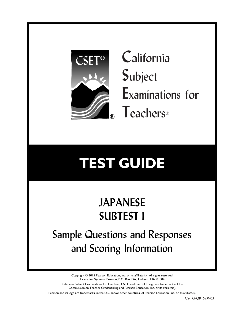

**C**alifornia **S**ubject **E**xaminations for **T**eachers®

# **TEST GUIDE**

## **JAPANESE SUBTEST I**

Sample Questions and Responses and Scoring Information

> Copyright © 2015 Pearson Education, Inc. or its affiliate(s). All rights reserved. Evaluation Systems, Pearson, P.O. Box 226, Amherst, MA 01004

California Subject Examinations for Teachers, CSET, and the CSET logo are trademarks of the Commission on Teacher Credentialing and Pearson Education, Inc. or its affiliate(s).

Pearson and its logo are trademarks, in the U.S. and/or other countries, of Pearson Education, Inc. or its affiliate(s).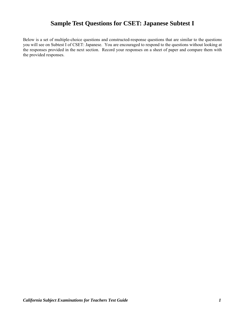## **Sample Test Questions for CSET: Japanese Subtest I**

Below is a set of multiple-choice questions and constructed-response questions that are similar to the questions you will see on Subtest I of CSET: Japanese. You are encouraged to respond to the questions without looking at the responses provided in the next section. Record your responses on a sheet of paper and compare them with the provided responses.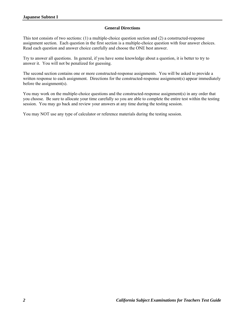#### **General Directions**

This test consists of two sections: (1) a multiple-choice question section and (2) a constructed-response assignment section. Each question in the first section is a multiple-choice question with four answer choices. Read each question and answer choice carefully and choose the ONE best answer.

Try to answer all questions. In general, if you have some knowledge about a question, it is better to try to answer it. You will not be penalized for guessing.

The second section contains one or more constructed-response assignments. You will be asked to provide a written response to each assignment. Directions for the constructed-response assignment(s) appear immediately before the assignment(s).

You may work on the multiple-choice questions and the constructed-response assignment(s) in any order that you choose. Be sure to allocate your time carefully so you are able to complete the entire test within the testing session. You may go back and review your answers at any time during the testing session.

You may NOT use any type of calculator or reference materials during the testing session.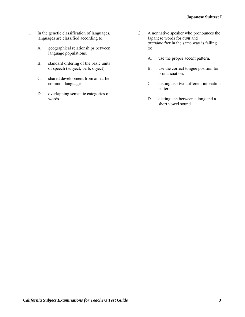- 1. In the genetic classification of languages, languages are classified according to:
	- A. geographical relationships between language populations.
	- B. standard ordering of the basic units of speech (subject, verb, object).
	- C. shared development from an earlier common language.
	- D. overlapping semantic categories of words.
- 2. A nonnative speaker who pronounces the Japanese words for *aunt* and *grandmother* in the same way is failing to:
	- A. use the proper accent pattern.
	- B. use the correct tongue position for pronunciation.
	- C. distinguish two different intonation patterns.
	- D. distinguish between a long and a short vowel sound.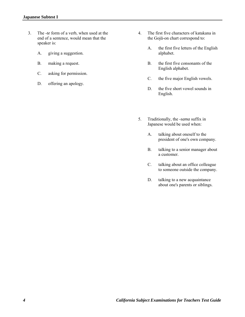- 3. The *-te* form of a verb, when used at the end of a sentence, would mean that the speaker is:
	- A. giving a suggestion.
	- B. making a request.
	- C. asking for permission.
	- D. offering an apology.
- 4. The first five characters of katakana in the Gojū-on chart correspond to:
	- A. the first five letters of the English alphabet.
	- B. the first five consonants of the English alphabet.
	- C. the five major English vowels.
	- D. the five short vowel sounds in English.
- 5. Traditionally, the *-sama* suffix in Japanese would be used when:
	- A. talking about oneself to the president of one's own company.
	- B. talking to a senior manager about a customer.
	- C. talking about an office colleague to someone outside the company.
	- D. talking to a new acquaintance about one's parents or siblings.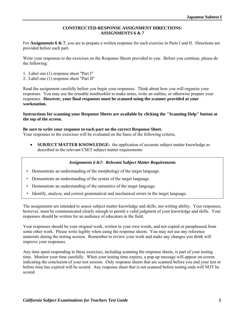#### **CONSTRUCTED-RESPONSE ASSIGNMENT DIRECTIONS: ASSIGNMENTS 6 & 7**

For **Assignments 6 & 7**, you are to prepare a written response for each exercise in Parts I and II. Directions are provided before each part.

Write your responses to the exercises on the Response Sheets provided to you. Before you continue, please do the following:

- 1. Label one (1) response sheet "Part I"
- 2. Label one (1) response sheet "Part II"

Read the assignment carefully before you begin your responses. Think about how you will organize your responses. You may use the erasable notebooklet to make notes, write an outline, or otherwise prepare your responses. **However, your final responses must be scanned using the scanner provided at your workstation.** 

#### **Instructions for scanning your Response Sheets are available by clicking the "Scanning Help" button at the top of the screen.**

#### **Be sure to write your response to each part on the correct Response Sheet.**

Your responses to the exercises will be evaluated on the basis of the following criteria.

• **SUBJECT MATTER KNOWLEDGE:** the application of accurate subject matter knowledge as described in the relevant CSET subject matter requirements

#### *Assignments 6 &7: Relevant Subject Matter Requirements*

- Demonstrate an understanding of the morphology of the target language.
- Demonstrate an understanding of the syntax of the target language.
- Demonstrate an understanding of the semantics of the target language.
- Identify, analyze, and correct grammatical and mechanical errors in the target language.

The assignments are intended to assess subject matter knowledge and skills, not writing ability. Your responses, however, must be communicated clearly enough to permit a valid judgment of your knowledge and skills. Your responses should be written for an audience of educators in the field.

Your responses should be your original work, written in your own words, and not copied or paraphrased from some other work. Please write legibly when using the response sheets. You may not use any reference materials during the testing session. Remember to review your work and make any changes you think will improve your responses.

Any time spent responding to these exercises, including scanning the response sheets, is part of your testing time. Monitor your time carefully. When your testing time expires, a pop-up message will appear on-screen indicating the conclusion of your test session. Only response sheets that are scanned before you end your test or before time has expired will be scored. Any response sheet that is not scanned before testing ends will NOT be scored.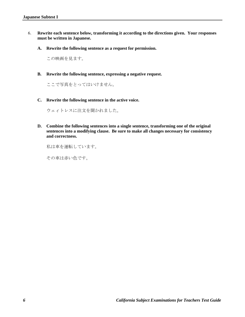- 6. **Rewrite each sentence below, transforming it according to the directions given. Your responses must be written in Japanese.**
	- **A. Rewrite the following sentence as a request for permission.**

この映画を見ます。

**B. Rewrite the following sentence, expressing a negative request.** 

ここで写真をとってはいけません。

**C. Rewrite the following sentence in the active voice.** 

ウェィトレスに注文を聞かれました。

**D. Combine the following sentences into a single sentence, transforming one of the original sentences into a modifying clause. Be sure to make all changes necessary for consistency and correctness.** 

私は車を運転しています。

その車は赤い色です。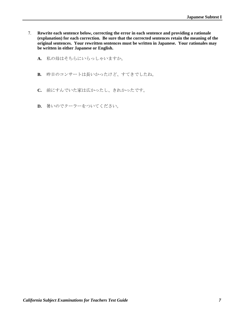- 7. **Rewrite each sentence below, correcting the error in each sentence and providing a rationale (explanation) for each correction. Be sure that the corrected sentences retain the meaning of the original sentences. Your rewritten sentences must be written in Japanese. Your rationales may be written in either Japanese or English.** 
	- **A.** 私の母はそちらにいらっしゃいますか。
	- **B.** 昨日のコンサートは長いかったけど、すてきでしたね。
	- **C.** 前にすんでいた家は広かったし、きれかったです。
	- **D.** 暑いのでクーラーをついてください。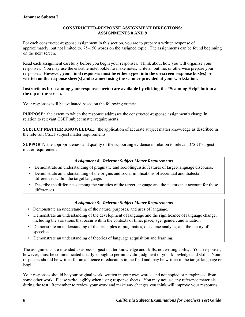#### **CONSTRUCTED-RESPONSE ASSIGNMENT DIRECTIONS: ASSIGNMENTS 8 AND 9**

For each constructed-response assignment in this section, you are to prepare a written response of approximately, but not limited to, 75–150 words on the assigned topic. The assignments can be found beginning on the next screen.

Read each assignment carefully before you begin your responses. Think about how you will organize your responses. You may use the erasable notebooklet to make notes, write an outline, or otherwise prepare your responses. **However, your final responses must be either typed into the on-screen response box(es) or written on the response sheet(s) and scanned using the scanner provided at your workstation.**

#### **Instructions for scanning your response sheet(s) are available by clicking the "Scanning Help" button at the top of the screen.**

Your responses will be evaluated based on the following criteria.

**PURPOSE:** the extent to which the response addresses the constructed-response assignment's charge in relation to relevant CSET subject matter requirements

**SUBJECT MATTER KNOWLEDGE:** the application of accurate subject matter knowledge as described in the relevant CSET subject matter requirements

**SUPPORT:** the appropriateness and quality of the supporting evidence in relation to relevant CSET subject matter requirements

#### *Assignment 8: Relevant Subject Matter Requirements*

- Demonstrate an understanding of pragmatic and sociolinguistic features of target-language discourse.
- Demonstrate an understanding of the origins and social implications of accentual and dialectal differences within the target language.
- Describe the differences among the varieties of the target language and the factors that account for these differences.

#### *Assignment 9: Relevant Subject Matter Requirements*

- Demonstrate an understanding of the nature, purposes, and uses of language.
- Demonstrate an understanding of the development of language and the significance of language change, including the variations that occur within the contexts of time, place, age, gender, and situation.
- Demonstrate an understanding of the principles of pragmatics, discourse analysis, and the theory of speech acts.
- Demonstrate an understanding of theories of language acquisition and learning.

The assignments are intended to assess subject matter knowledge and skills, not writing ability. Your responses, however, must be communicated clearly enough to permit a valid judgment of your knowledge and skills. Your responses should be written for an audience of educators in the field and may be written in the target language or English.

Your responses should be your original work, written in your own words, and not copied or paraphrased from some other work. Please write legibly when using response sheets. You may not use any reference materials during the test. Remember to review your work and make any changes you think will improve your responses.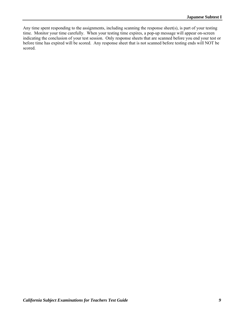Any time spent responding to the assignments, including scanning the response sheet(s), is part of your testing time. Monitor your time carefully. When your testing time expires, a pop-up message will appear on-screen indicating the conclusion of your test session. Only response sheets that are scanned before you end your test or before time has expired will be scored. Any response sheet that is not scanned before testing ends will NOT be scored.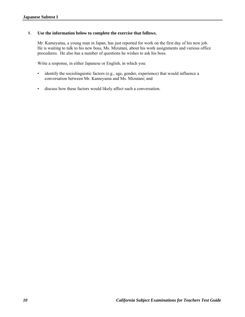#### 8. **Use the information below to complete the exercise that follows.**

Mr. Kameyama, a young man in Japan, has just reported for work on the first day of his new job. He is waiting to talk to his new boss, Ms. Mizutani, about his work assignments and various office procedures. He also has a number of questions he wishes to ask his boss.

Write a response, in either Japanese or English, in which you:

- identify the sociolinguistic factors (e.g., age, gender, experience) that would influence a conversation between Mr. Kameyama and Ms. Mizutani; and
- discuss how these factors would likely affect such a conversation.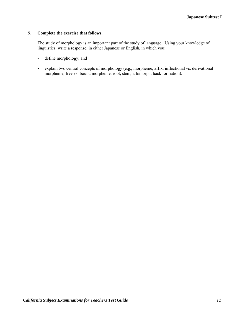#### 9. **Complete the exercise that follows.**

The study of morphology is an important part of the study of language. Using your knowledge of linguistics, write a response, in either Japanese or English, in which you:

- define morphology; and
- explain two central concepts of morphology (e.g., morpheme, affix, inflectional vs. derivational morpheme, free vs. bound morpheme, root, stem, allomorph, back formation).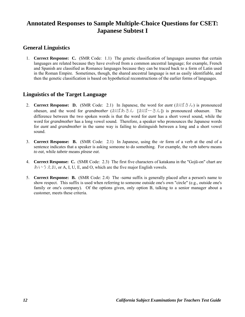## **Annotated Responses to Sample Multiple-Choice Questions for CSET: Japanese Subtest I**

## **General Linguistics**

 1. **Correct Response: C.** (SMR Code: 1.1) The genetic classification of languages assumes that certain languages are related because they have evolved from a common ancestral language; for example, French and Spanish are classified as Romance languages because they can be traced back to a form of Latin used in the Roman Empire. Sometimes, though, the shared ancestral language is not as easily identifiable, and then the genetic classification is based on hypothetical reconstructions of the earlier forms of languages.

## **Linguistics of the Target Language**

- 2. **Correct Response: D.** (SMR Code: 2.1) In Japanese, the word for *aunt* (おばさん) is pronounced *obasan*, and the word for *grandmother* (おばあさん [おばーさん]) is pronounced *obaasan*. The difference between the two spoken words is that the word for *aunt* has a short vowel sound, while the word for *grandmother* has a long vowel sound. Therefore, a speaker who pronounces the Japanese words for *aunt* and *grandmother* in the same way is failing to distinguish between a long and a short vowel sound.
- 3. **Correct Response: B.** (SMR Code: 2.1) In Japanese, using the *-te* form of a verb at the end of a sentence indicates that a speaker is asking someone to do something. For example, the verb *taberu* means *to eat*, while *tabete* means *please eat*.
- 4. **Correct Response: C.** (SMR Code: 2.3) The first five characters of katakana in the "Gojū-on" chart are あいうえお, or A, I, U, E, and O, which are the five major English vowels.
- 5. **Correct Response: B.** (SMR Code: 2.4) The *-sama* suffix is generally placed after a person's name to show respect. This suffix is used when referring to someone outside one's own "circle" (e.g., outside one's family or one's company). Of the options given, only option B, talking to a senior manager about a customer, meets these criteria.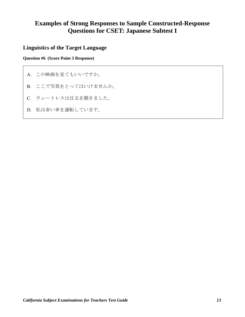## **Examples of Strong Responses to Sample Constructed-Response Questions for CSET: Japanese Subtest I**

## **Linguistics of the Target Language**

#### **Question #6 (Score Point 3 Response)**

- A. この映画を見てもいいですか。
- B. ここで写真をとってはいけませんか。
- C. ウェートレスは注文を聞きました。
- D. 私は赤い車を運転しています。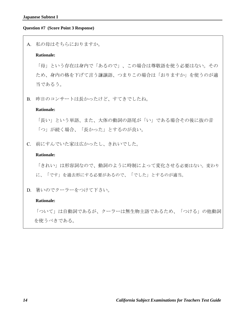#### **Question #7 (Score Point 3 Response)**

#### A. 私の母はそちらにおりますか。

#### **Rationale:**

「母」という存在は身内で「あるので」、この場合は尊敬語を使う必要はない。その ため、身内の格を下げて言う謙譲語、つまりこの場合は「おりますか」を使うのが適 当であるう。

B. 昨日のコンサートは長かったけど、すてきでしたね。

#### **Rationale:**

「長い」という単語、また、大体の動詞の語尾が「い」である場合その後に抜の音 「つ」が続く場合、「長かった」とするのが良い。

C. 前にすんでいた家は広かったし、きれいでした。

#### **Rationale:**

「きれい」は形容詞なので、動詞のように時制によって変化させる必要はない。変わり に、「です」を過去形にする必要があるので、「でした」とするのが適当。

D. 暑いのでクーラーをつけて下さい。

#### **Rationale:**

「ついて」は自動詞であるが、クーラーは無生物主語であるため、「つける」の他動詞 を使うべきである。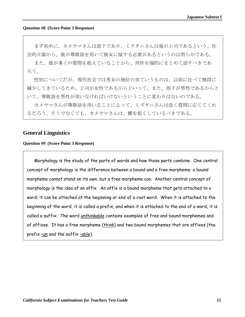#### **Question #8 (Score Point 3 Response)**

まず初めに,カメヤマさんは部下であり、ミズタニさんは彼の上司であるという、社 会的立場から、彼が尊敬語を用いて彼女に接する必要があるというのは明らかである。

また、彼が多くの質問を抱えていることから、用件を端的にまとめて話すべきであ ろう。

性別についてだが、現代社会では男女の地位の差ていうものは、以前に比べて格段に 減少してきているため、上司が女性であるからといって、また、部下が男性であるからと いて、尊敬語を男性が用いなければいけないということに変わりはないのである。

カメヤマさんが尊敬語を用いることによって、ミズタニさんは改く質問に応じてくれ るだろう。そうでなくても、カメヤマさんは、腰を低くしているべきである。

## **General Linguistics**

#### **Question #9 (Score Point 3 Response)**

Morphology is the study of the parts of words and how those parts combine. One central concept of morphology is the difference between a bound and a free morpheme; a bound morpheme cannot stand on its own, but a free morpheme can. Another central concept of morphology is the idea of an affix. An affix is a bound morpheme that gets attached to a word; it can be attached at the beginning or end of a root word. When it is attached to the beginning of the word, it is called a prefix, and when it is attached to the end of a word, it is called a suffix. The word unthinkable contains examples of free and bound morphemes and of affixes. It has a free morpheme (think) and two bound morphemes that are affixes (the prefix –un and the suffix –able).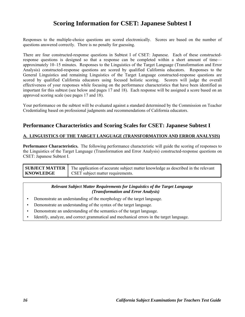## **Scoring Information for CSET: Japanese Subtest I**

Responses to the multiple-choice questions are scored electronically. Scores are based on the number of questions answered correctly. There is no penalty for guessing.

There are four constructed-response questions in Subtest I of CSET: Japanese. Each of these constructedresponse questions is designed so that a response can be completed within a short amount of time approximately 10–15 minutes. Responses to the Linguistics of the Target Language (Transformation and Error Analysis) constructed-response questions are scored by qualified California educators. Responses to the General Linguistics and remaining Linguistics of the Target Language constructed-response questions are scored by qualified California educators using focused holistic scoring. Scorers will judge the overall effectiveness of your responses while focusing on the performance characteristics that have been identified as important for this subtest (see below and pages 17 and 18). Each response will be assigned a score based on an approved scoring scale (see pages 17 and 18).

Your performance on the subtest will be evaluated against a standard determined by the Commission on Teacher Credentialing based on professional judgments and recommendations of California educators.

## **Performance Characteristics and Scoring Scales for CSET: Japanese Subtest I**

#### **A. LINGUISTICS OF THE TARGET LANGUAGE (TRANSFORMATION AND ERROR ANALYSIS)**

**Performance Characteristics.** The following performance characteristic will guide the scoring of responses to the Linguistics of the Target Language (Transformation and Error Analysis) constructed-response questions on CSET: Japanese Subtest I.

| <b>SUBJECT MATTER</b> | The application of accurate subject matter knowledge as described in the relevant |
|-----------------------|-----------------------------------------------------------------------------------|
| <b>KNOWLEDGE</b>      | <b>CSET</b> subject matter requirements.                                          |

#### *Relevant Subject Matter Requirements for Linguistics of the Target Language (Transformation and Error Analysis)*

- Demonstrate an understanding of the morphology of the target language.
- Demonstrate an understanding of the syntax of the target language.
- Demonstrate an understanding of the semantics of the target language.
- Identify, analyze, and correct grammatical and mechanical errors in the target language.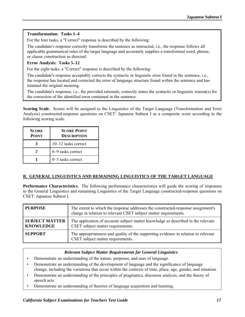#### **Transformation: Tasks 1–4**

For the four tasks, a "Correct" response is described by the following:

The candidate's response correctly transforms the sentence as instructed, i.e., the response follows all applicable grammatical rules of the target language and accurately supplies a transformed word, phrase, or clause construction as directed.

#### **Error Analysis: Tasks 5–12**

For the eight tasks, a "Correct" response is described by the following:

The candidate's response acceptably corrects the syntactic or linguistic error found in the sentence, i.e., the response has located and corrected the error of language structure found within the sentence and has retained the original meaning.

The candidate's response, i.e., the provided rationale, correctly states the syntactic or linguistic reason(s) for the correction of the identified error contained in the sentence.

**Scoring Scale.** Scores will be assigned to the Linguistics of the Target Language (Transformation and Error Analysis) constructed-response questions on CSET: Japanese Subtest I as a composite score according to the following scoring scale.

| <b>SCORE</b><br><b>POINT</b> | <b>SCORE POINT</b><br><b>DESCRIPTION</b> |
|------------------------------|------------------------------------------|
|                              | 10-12 tasks correct                      |
| 7.                           | 6–9 tasks correct                        |
|                              | 0–5 tasks correct                        |

#### **B. GENERAL LINGUISTICS AND REMAINING LINGUISTICS OF THE TARGET LANGUAGE**

**Performance Characteristics.** The following performance characteristics will guide the scoring of responses to the General Linguistics and remaining Linguistics of the Target Language constructed-response questions on CSET: Japanese Subtest I.

| <b>PURPOSE</b>                            | The extent to which the response addresses the constructed-response assignment's<br>charge in relation to relevant CSET subject matter requirements. |
|-------------------------------------------|------------------------------------------------------------------------------------------------------------------------------------------------------|
| <b>SUBJECT MATTER</b><br><b>KNOWLEDGE</b> | The application of accurate subject matter knowledge as described in the relevant<br>CSET subject matter requirements.                               |
| <b>SUPPORT</b>                            | The appropriateness and quality of the supporting evidence in relation to relevant<br>CSET subject matter requirements.                              |

#### *Relevant Subject Matter Requirements for General Linguistics*

- Demonstrate an understanding of the nature, purposes, and uses of language.
- Demonstrate an understanding of the development of language and the significance of language change, including the variations that occur within the contexts of time, place, age, gender, and situation.
- Demonstrate an understanding of the principles of pragmatics, discourse analysis, and the theory of speech acts.
- Demonstrate an understanding of theories of language acquisition and learning.